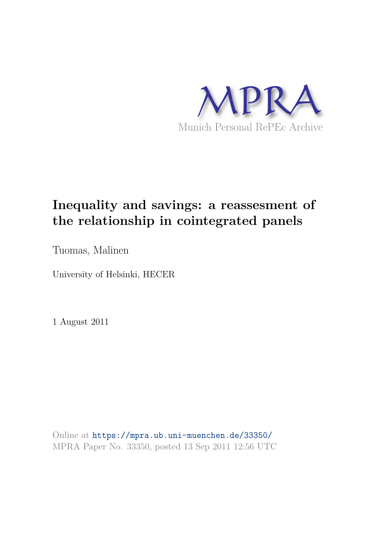

# **Inequality and savings: a reassesment of the relationship in cointegrated panels**

Tuomas, Malinen

University of Helsinki, HECER

1 August 2011

Online at https://mpra.ub.uni-muenchen.de/33350/ MPRA Paper No. 33350, posted 13 Sep 2011 12:56 UTC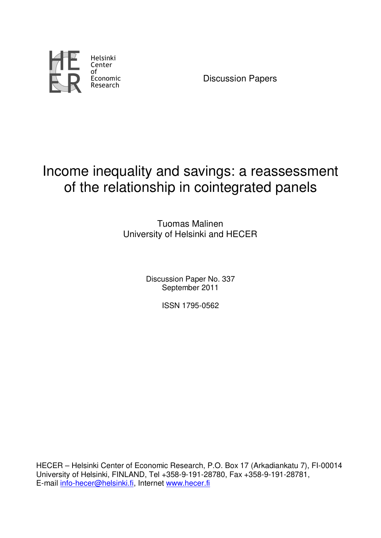

Discussion Papers

# Income inequality and savings: a reassessment of the relationship in cointegrated panels

Tuomas Malinen University of Helsinki and HECER

> Discussion Paper No. 337 September 2011

> > ISSN 1795-0562

HECER – Helsinki Center of Economic Research, P.O. Box 17 (Arkadiankatu 7), FI-00014 University of Helsinki, FINLAND, Tel +358-9-191-28780, Fax +358-9-191-28781, E-mail info-hecer@helsinki.fi, Internet www.hecer.fi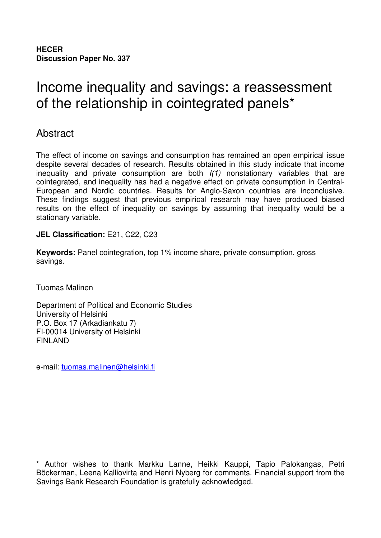**HECER Discussion Paper No. 337**

# Income inequality and savings: a reassessment of the relationship in cointegrated panels\*

## Abstract

The effect of income on savings and consumption has remained an open empirical issue despite several decades of research. Results obtained in this study indicate that income inequality and private consumption are both I(1) nonstationary variables that are cointegrated, and inequality has had a negative effect on private consumption in Central-European and Nordic countries. Results for Anglo-Saxon countries are inconclusive. These findings suggest that previous empirical research may have produced biased results on the effect of inequality on savings by assuming that inequality would be a stationary variable.

## **JEL Classification:** E21, C22, C23

**Keywords:** Panel cointegration, top 1% income share, private consumption, gross savings.

Tuomas Malinen

Department of Political and Economic Studies University of Helsinki P.O. Box 17 (Arkadiankatu 7) FI-00014 University of Helsinki FINLAND

e-mail: tuomas.malinen@helsinki.fi

\* Author wishes to thank Markku Lanne, Heikki Kauppi, Tapio Palokangas, Petri Böckerman, Leena Kalliovirta and Henri Nyberg for comments. Financial support from the Savings Bank Research Foundation is gratefully acknowledged.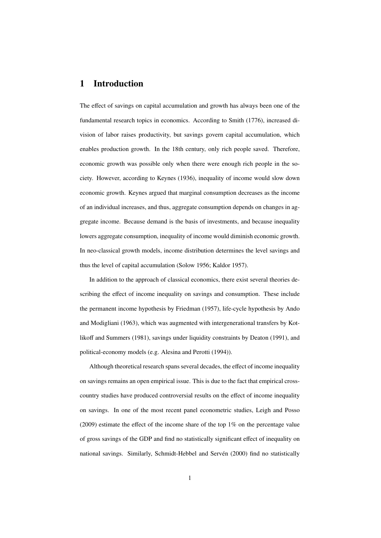## 1 Introduction

The effect of savings on capital accumulation and growth has always been one of the fundamental research topics in economics. According to Smith (1776), increased division of labor raises productivity, but savings govern capital accumulation, which enables production growth. In the 18th century, only rich people saved. Therefore, economic growth was possible only when there were enough rich people in the society. However, according to Keynes (1936), inequality of income would slow down economic growth. Keynes argued that marginal consumption decreases as the income of an individual increases, and thus, aggregate consumption depends on changes in aggregate income. Because demand is the basis of investments, and because inequality lowers aggregate consumption, inequality of income would diminish economic growth. In neo-classical growth models, income distribution determines the level savings and thus the level of capital accumulation (Solow 1956; Kaldor 1957).

In addition to the approach of classical economics, there exist several theories describing the effect of income inequality on savings and consumption. These include the permanent income hypothesis by Friedman (1957), life-cycle hypothesis by Ando and Modigliani (1963), which was augmented with intergenerational transfers by Kotlikoff and Summers (1981), savings under liquidity constraints by Deaton (1991), and political-economy models (e.g. Alesina and Perotti (1994)).

Although theoretical research spans several decades, the effect of income inequality on savings remains an open empirical issue. This is due to the fact that empirical crosscountry studies have produced controversial results on the effect of income inequality on savings. In one of the most recent panel econometric studies, Leigh and Posso (2009) estimate the effect of the income share of the top 1% on the percentage value of gross savings of the GDP and find no statistically significant effect of inequality on national savings. Similarly, Schmidt-Hebbel and Servén (2000) find no statistically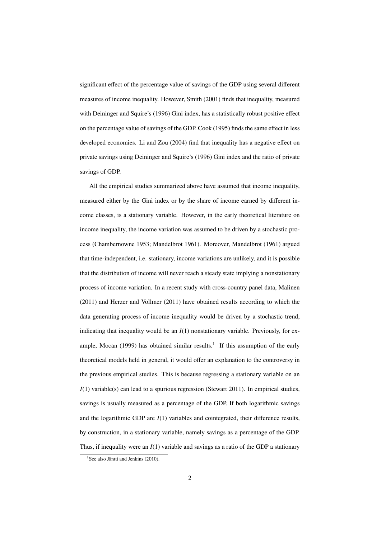significant effect of the percentage value of savings of the GDP using several different measures of income inequality. However, Smith (2001) finds that inequality, measured with Deininger and Squire's (1996) Gini index, has a statistically robust positive effect on the percentage value of savings of the GDP. Cook (1995) finds the same effect in less developed economies. Li and Zou (2004) find that inequality has a negative effect on private savings using Deininger and Squire's (1996) Gini index and the ratio of private savings of GDP.

All the empirical studies summarized above have assumed that income inequality, measured either by the Gini index or by the share of income earned by different income classes, is a stationary variable. However, in the early theoretical literature on income inequality, the income variation was assumed to be driven by a stochastic process (Chambernowne 1953; Mandelbrot 1961). Moreover, Mandelbrot (1961) argued that time-independent, i.e. stationary, income variations are unlikely, and it is possible that the distribution of income will never reach a steady state implying a nonstationary process of income variation. In a recent study with cross-country panel data, Malinen (2011) and Herzer and Vollmer (2011) have obtained results according to which the data generating process of income inequality would be driven by a stochastic trend, indicating that inequality would be an *I*(1) nonstationary variable. Previously, for example, Mocan (1999) has obtained similar results.<sup>1</sup> If this assumption of the early theoretical models held in general, it would offer an explanation to the controversy in the previous empirical studies. This is because regressing a stationary variable on an *I*(1) variable(s) can lead to a spurious regression (Stewart 2011). In empirical studies, savings is usually measured as a percentage of the GDP. If both logarithmic savings and the logarithmic GDP are *I*(1) variables and cointegrated, their difference results, by construction, in a stationary variable, namely savings as a percentage of the GDP. Thus, if inequality were an *I*(1) variable and savings as a ratio of the GDP a stationary

<sup>&</sup>lt;sup>1</sup>See also Jäntti and Jenkins (2010).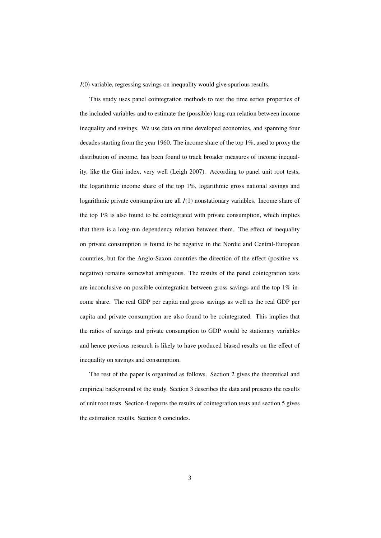*I*(0) variable, regressing savings on inequality would give spurious results.

This study uses panel cointegration methods to test the time series properties of the included variables and to estimate the (possible) long-run relation between income inequality and savings. We use data on nine developed economies, and spanning four decades starting from the year 1960. The income share of the top 1%, used to proxy the distribution of income, has been found to track broader measures of income inequality, like the Gini index, very well (Leigh 2007). According to panel unit root tests, the logarithmic income share of the top 1%, logarithmic gross national savings and logarithmic private consumption are all *I*(1) nonstationary variables. Income share of the top 1% is also found to be cointegrated with private consumption, which implies that there is a long-run dependency relation between them. The effect of inequality on private consumption is found to be negative in the Nordic and Central-European countries, but for the Anglo-Saxon countries the direction of the effect (positive vs. negative) remains somewhat ambiguous. The results of the panel cointegration tests are inconclusive on possible cointegration between gross savings and the top 1% income share. The real GDP per capita and gross savings as well as the real GDP per capita and private consumption are also found to be cointegrated. This implies that the ratios of savings and private consumption to GDP would be stationary variables and hence previous research is likely to have produced biased results on the effect of inequality on savings and consumption.

The rest of the paper is organized as follows. Section 2 gives the theoretical and empirical background of the study. Section 3 describes the data and presents the results of unit root tests. Section 4 reports the results of cointegration tests and section 5 gives the estimation results. Section 6 concludes.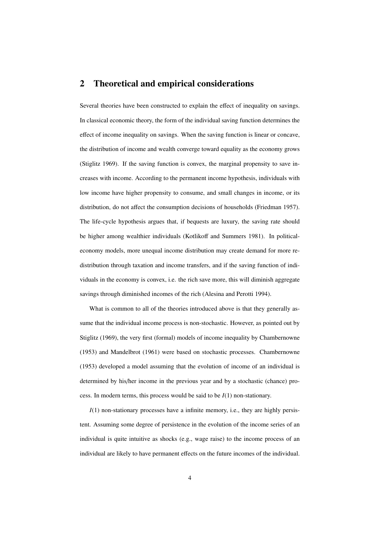## 2 Theoretical and empirical considerations

Several theories have been constructed to explain the effect of inequality on savings. In classical economic theory, the form of the individual saving function determines the effect of income inequality on savings. When the saving function is linear or concave, the distribution of income and wealth converge toward equality as the economy grows (Stiglitz 1969). If the saving function is convex, the marginal propensity to save increases with income. According to the permanent income hypothesis, individuals with low income have higher propensity to consume, and small changes in income, or its distribution, do not affect the consumption decisions of households (Friedman 1957). The life-cycle hypothesis argues that, if bequests are luxury, the saving rate should be higher among wealthier individuals (Kotlikoff and Summers 1981). In politicaleconomy models, more unequal income distribution may create demand for more redistribution through taxation and income transfers, and if the saving function of individuals in the economy is convex, i.e. the rich save more, this will diminish aggregate savings through diminished incomes of the rich (Alesina and Perotti 1994).

What is common to all of the theories introduced above is that they generally assume that the individual income process is non-stochastic. However, as pointed out by Stiglitz (1969), the very first (formal) models of income inequality by Chambernowne (1953) and Mandelbrot (1961) were based on stochastic processes. Chambernowne (1953) developed a model assuming that the evolution of income of an individual is determined by his/her income in the previous year and by a stochastic (chance) process. In modern terms, this process would be said to be *I*(1) non-stationary.

*I*(1) non-stationary processes have a infinite memory, i.e., they are highly persistent. Assuming some degree of persistence in the evolution of the income series of an individual is quite intuitive as shocks (e.g., wage raise) to the income process of an individual are likely to have permanent effects on the future incomes of the individual.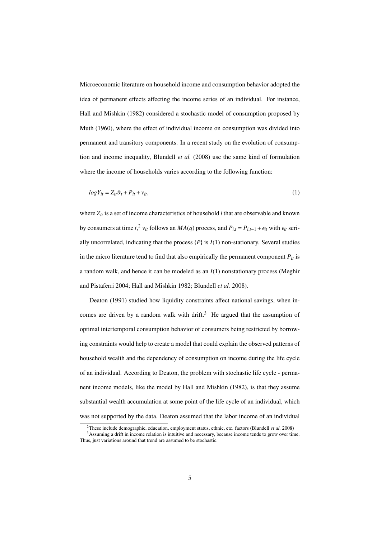Microeconomic literature on household income and consumption behavior adopted the idea of permanent effects affecting the income series of an individual. For instance, Hall and Mishkin (1982) considered a stochastic model of consumption proposed by Muth (1960), where the effect of individual income on consumption was divided into permanent and transitory components. In a recent study on the evolution of consumption and income inequality, Blundell *et al.* (2008) use the same kind of formulation where the income of households varies according to the following function:

$$
logY_{it} = Z_{it}\vartheta_t + P_{it} + v_{it},\tag{1}
$$

where  $Z_{it}$  is a set of income characteristics of household *i* that are observable and known by consumers at time  $t$ ,<sup>2</sup>,  $v$ <sub>*it*</sub> follows an  $MA(q)$  process, and  $P$ <sub>*i,t*</sub> =  $P$ <sub>*i,t*-1</sub> +  $\epsilon$ <sub>*it*</sub> with  $\epsilon$ <sub>*it*</sub> serially uncorrelated, indicating that the process  $\{P\}$  is  $I(1)$  non-stationary. Several studies in the micro literature tend to find that also empirically the permanent component  $P_{it}$  is a random walk, and hence it can be modeled as an *I*(1) nonstationary process (Meghir and Pistaferri 2004; Hall and Mishkin 1982; Blundell *et al.* 2008).

Deaton (1991) studied how liquidity constraints affect national savings, when incomes are driven by a random walk with drift.<sup>3</sup> He argued that the assumption of optimal intertemporal consumption behavior of consumers being restricted by borrowing constraints would help to create a model that could explain the observed patterns of household wealth and the dependency of consumption on income during the life cycle of an individual. According to Deaton, the problem with stochastic life cycle - permanent income models, like the model by Hall and Mishkin (1982), is that they assume substantial wealth accumulation at some point of the life cycle of an individual, which was not supported by the data. Deaton assumed that the labor income of an individual

<sup>2</sup>These include demographic, education, employment status, ethnic, etc. factors (Blundell *et al.* 2008)

<sup>3</sup>Assuming a drift in income relation is intuitive and necessary, because income tends to grow over time. Thus, just variations around that trend are assumed to be stochastic.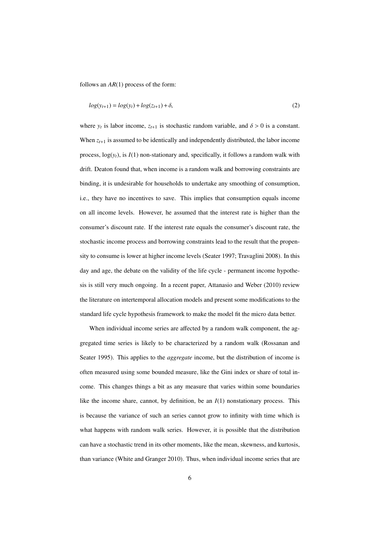follows an *AR*(1) process of the form:

$$
log(y_{t+1}) = log(y_t) + log(z_{t+1}) + \delta,
$$
\n(2)

where  $y_t$  is labor income,  $z_{t+1}$  is stochastic random variable, and  $\delta > 0$  is a constant. When  $z_{t+1}$  is assumed to be identically and independently distributed, the labor income process,  $log(y_t)$ , is  $I(1)$  non-stationary and, specifically, it follows a random walk with drift. Deaton found that, when income is a random walk and borrowing constraints are binding, it is undesirable for households to undertake any smoothing of consumption, i.e., they have no incentives to save. This implies that consumption equals income on all income levels. However, he assumed that the interest rate is higher than the consumer's discount rate. If the interest rate equals the consumer's discount rate, the stochastic income process and borrowing constraints lead to the result that the propensity to consume is lower at higher income levels (Seater 1997; Travaglini 2008). In this day and age, the debate on the validity of the life cycle - permanent income hypothesis is still very much ongoing. In a recent paper, Attanasio and Weber (2010) review the literature on intertemporal allocation models and present some modifications to the standard life cycle hypothesis framework to make the model fit the micro data better.

When individual income series are affected by a random walk component, the aggregated time series is likely to be characterized by a random walk (Rossanan and Seater 1995). This applies to the *aggregate* income, but the distribution of income is often measured using some bounded measure, like the Gini index or share of total income. This changes things a bit as any measure that varies within some boundaries like the income share, cannot, by definition, be an *I*(1) nonstationary process. This is because the variance of such an series cannot grow to infinity with time which is what happens with random walk series. However, it is possible that the distribution can have a stochastic trend in its other moments, like the mean, skewness, and kurtosis, than variance (White and Granger 2010). Thus, when individual income series that are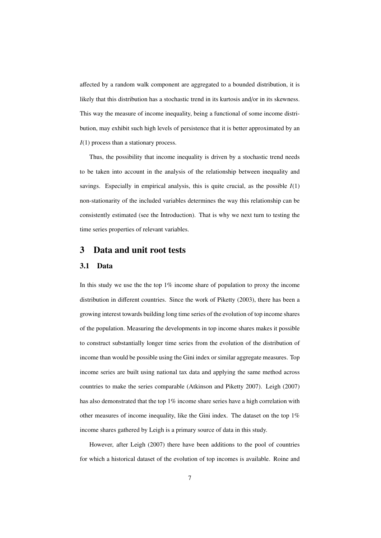affected by a random walk component are aggregated to a bounded distribution, it is likely that this distribution has a stochastic trend in its kurtosis and/or in its skewness. This way the measure of income inequality, being a functional of some income distribution, may exhibit such high levels of persistence that it is better approximated by an *I*(1) process than a stationary process.

Thus, the possibility that income inequality is driven by a stochastic trend needs to be taken into account in the analysis of the relationship between inequality and savings. Especially in empirical analysis, this is quite crucial, as the possible  $I(1)$ non-stationarity of the included variables determines the way this relationship can be consistently estimated (see the Introduction). That is why we next turn to testing the time series properties of relevant variables.

### 3 Data and unit root tests

#### 3.1 Data

In this study we use the the top 1% income share of population to proxy the income distribution in different countries. Since the work of Piketty (2003), there has been a growing interest towards building long time series of the evolution of top income shares of the population. Measuring the developments in top income shares makes it possible to construct substantially longer time series from the evolution of the distribution of income than would be possible using the Gini index or similar aggregate measures. Top income series are built using national tax data and applying the same method across countries to make the series comparable (Atkinson and Piketty 2007). Leigh (2007) has also demonstrated that the top 1% income share series have a high correlation with other measures of income inequality, like the Gini index. The dataset on the top 1% income shares gathered by Leigh is a primary source of data in this study.

However, after Leigh (2007) there have been additions to the pool of countries for which a historical dataset of the evolution of top incomes is available. Roine and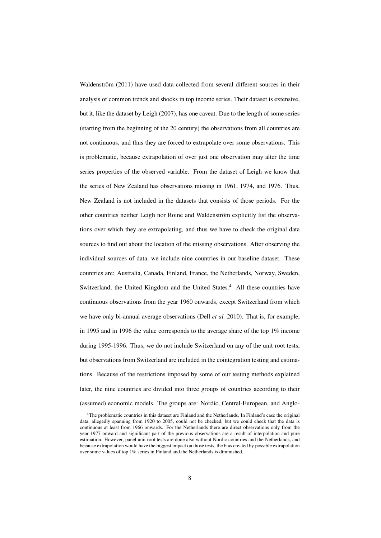Waldenström (2011) have used data collected from several different sources in their analysis of common trends and shocks in top income series. Their dataset is extensive, but it, like the dataset by Leigh (2007), has one caveat. Due to the length of some series (starting from the beginning of the 20 century) the observations from all countries are not continuous, and thus they are forced to extrapolate over some observations. This is problematic, because extrapolation of over just one observation may alter the time series properties of the observed variable. From the dataset of Leigh we know that the series of New Zealand has observations missing in 1961, 1974, and 1976. Thus, New Zealand is not included in the datasets that consists of those periods. For the other countries neither Leigh nor Roine and Waldenström explicitly list the observations over which they are extrapolating, and thus we have to check the original data sources to find out about the location of the missing observations. After observing the individual sources of data, we include nine countries in our baseline dataset. These countries are: Australia, Canada, Finland, France, the Netherlands, Norway, Sweden, Switzerland, the United Kingdom and the United States.<sup>4</sup> All these countries have continuous observations from the year 1960 onwards, except Switzerland from which we have only bi-annual average observations (Dell *et al.* 2010). That is, for example, in 1995 and in 1996 the value corresponds to the average share of the top 1% income during 1995-1996. Thus, we do not include Switzerland on any of the unit root tests, but observations from Switzerland are included in the cointegration testing and estimations. Because of the restrictions imposed by some of our testing methods explained later, the nine countries are divided into three groups of countries according to their (assumed) economic models. The groups are: Nordic, Central-European, and Anglo-

<sup>4</sup>The problematic countries in this dataset are Finland and the Netherlands. In Finland's case the original data, allegedly spanning from 1920 to 2005, could not be checked, but we could check that the data is continuous at least from 1966 onwards. For the Netherlands there are direct observations only from the year 1977 onward and significant part of the previous observations are a result of interpolation and pure estimation. However, panel unit root tests are done also without Nordic countries and the Netherlands, and because extrapolation would have the biggest impact on those tests, the bias created by possible extrapolation over some values of top 1% series in Finland and the Netherlands is diminished.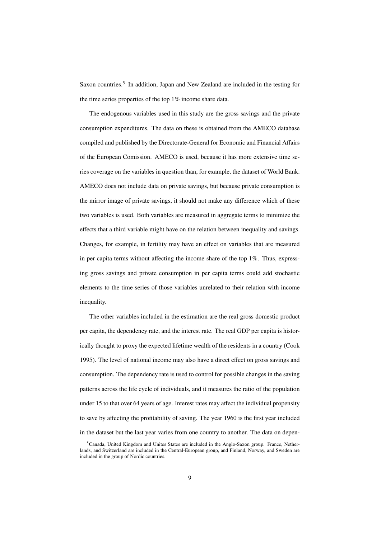Saxon countries.<sup>5</sup> In addition, Japan and New Zealand are included in the testing for the time series properties of the top 1% income share data.

The endogenous variables used in this study are the gross savings and the private consumption expenditures. The data on these is obtained from the AMECO database compiled and published by the Directorate-General for Economic and Financial Affairs of the European Comission. AMECO is used, because it has more extensive time series coverage on the variables in question than, for example, the dataset of World Bank. AMECO does not include data on private savings, but because private consumption is the mirror image of private savings, it should not make any difference which of these two variables is used. Both variables are measured in aggregate terms to minimize the effects that a third variable might have on the relation between inequality and savings. Changes, for example, in fertility may have an effect on variables that are measured in per capita terms without affecting the income share of the top 1%. Thus, expressing gross savings and private consumption in per capita terms could add stochastic elements to the time series of those variables unrelated to their relation with income inequality.

The other variables included in the estimation are the real gross domestic product per capita, the dependency rate, and the interest rate. The real GDP per capita is historically thought to proxy the expected lifetime wealth of the residents in a country (Cook 1995). The level of national income may also have a direct effect on gross savings and consumption. The dependency rate is used to control for possible changes in the saving patterns across the life cycle of individuals, and it measures the ratio of the population under 15 to that over 64 years of age. Interest rates may affect the individual propensity to save by affecting the profitability of saving. The year 1960 is the first year included in the dataset but the last year varies from one country to another. The data on depen-

<sup>5</sup>Canada, United Kingdom and Unites States are included in the Anglo-Saxon group. France, Netherlands, and Switzerland are included in the Central-European group, and Finland, Norway, and Sweden are included in the group of Nordic countries.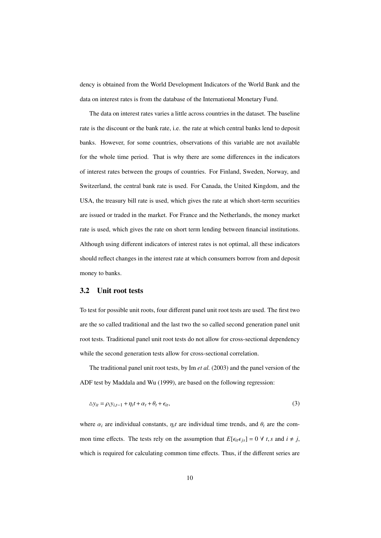dency is obtained from the World Development Indicators of the World Bank and the data on interest rates is from the database of the International Monetary Fund.

The data on interest rates varies a little across countries in the dataset. The baseline rate is the discount or the bank rate, i.e. the rate at which central banks lend to deposit banks. However, for some countries, observations of this variable are not available for the whole time period. That is why there are some differences in the indicators of interest rates between the groups of countries. For Finland, Sweden, Norway, and Switzerland, the central bank rate is used. For Canada, the United Kingdom, and the USA, the treasury bill rate is used, which gives the rate at which short-term securities are issued or traded in the market. For France and the Netherlands, the money market rate is used, which gives the rate on short term lending between financial institutions. Although using different indicators of interest rates is not optimal, all these indicators should reflect changes in the interest rate at which consumers borrow from and deposit money to banks.

#### 3.2 Unit root tests

To test for possible unit roots, four different panel unit root tests are used. The first two are the so called traditional and the last two the so called second generation panel unit root tests. Traditional panel unit root tests do not allow for cross-sectional dependency while the second generation tests allow for cross-sectional correlation.

The traditional panel unit root tests, by Im *et al.* (2003) and the panel version of the ADF test by Maddala and Wu (1999), are based on the following regression:

$$
\Delta y_{it} = \rho_i y_{i,t-1} + \eta_i t + \alpha_t + \theta_t + \epsilon_{it},
$$
\n(3)

where  $\alpha_i$  are individual constants,  $\eta_i t$  are individual time trends, and  $\theta_t$  are the common time effects. The tests rely on the assumption that  $E[\epsilon_{it}\epsilon_{js}] = 0 \ \forall \ t, s \text{ and } i \neq j$ , which is required for calculating common time effects. Thus, if the different series are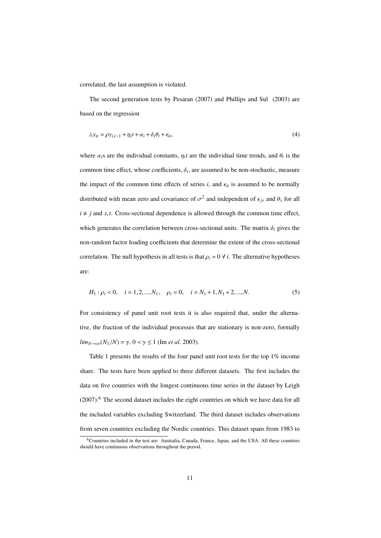correlated, the last assumption is violated.

The second generation tests by Pesaran (2007) and Phillips and Sul (2003) are based on the regression

$$
\Delta y_{it} = \rho y_{i,t-1} + \eta_i t + \alpha_i + \delta_i \theta_t + \epsilon_{it},\tag{4}
$$

where  $\alpha_i$  are the individual constants,  $\eta_i t$  are the individual time trends, and  $\theta_t$  is the common time effect, whose coefficients,  $\delta_i$ , are assumed to be non-stochastic, measure the impact of the common time effects of series  $i$ , and  $\epsilon_{it}$  is assumed to be normally distributed with mean zero and covariance of  $\sigma^2$  and independent of  $\epsilon_{js}$  and  $\theta_s$  for all  $i \neq j$  and *s*,*t*. Cross-sectional dependence is allowed through the common time effect, which generates the correlation between cross-sectional units. The matrix  $\delta_i$  gives the non-random factor loading coefficients that determine the extent of the cross-sectional correlation. The null hypothesis in all tests is that  $\rho_i = 0 \forall i$ . The alternative hypotheses are:

$$
H_1: \rho_i < 0, \quad i = 1, 2, \dots, N_1, \quad \rho_i = 0, \quad i = N_1 + 1, N_1 + 2, \dots, N. \tag{5}
$$

For consistency of panel unit root tests it is also required that, under the alternative, the fraction of the individual processes that are stationary is non-zero, formally  $\lim_{N \to \infty} (N_1/N) = \gamma$ ,  $0 < \gamma \le 1$  (Im *et al.* 2003).

Table 1 presents the results of the four panel unit root tests for the top 1% income share. The tests have been applied to three different datasets. The first includes the data on five countries with the longest continuous time series in the dataset by Leigh  $(2007)$ .<sup>6</sup> The second dataset includes the eight countries on which we have data for all the included variables excluding Switzerland. The third dataset includes observations from seven countries excluding the Nordic countries. This dataset spans from 1983 to

<sup>6</sup>Countries included in the test are: Australia, Canada, France, Japan, and the USA. All these countries should have continuous observations throughout the period.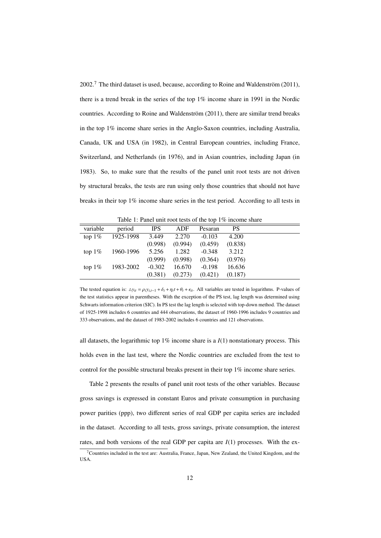2002.<sup>7</sup> The third dataset is used, because, according to Roine and Waldenström (2011), there is a trend break in the series of the top 1% income share in 1991 in the Nordic countries. According to Roine and Waldenström (2011), there are similar trend breaks in the top 1% income share series in the Anglo-Saxon countries, including Australia, Canada, UK and USA (in 1982), in Central European countries, including France, Switzerland, and Netherlands (in 1976), and in Asian countries, including Japan (in 1983). So, to make sure that the results of the panel unit root tests are not driven by structural breaks, the tests are run using only those countries that should not have breaks in their top 1% income share series in the test period. According to all tests in

| variable  | period          | IPS      | ADF     | Pesaran  | <b>PS</b> |  |
|-----------|-----------------|----------|---------|----------|-----------|--|
| top $1\%$ | 1925-1998       | 3.449    | 2.270   | $-0.103$ | 4.200     |  |
|           |                 | (0.998)  | (0.994) | (0.459)  | (0.838)   |  |
| top $1\%$ | 1960-1996 5.256 |          | 1.282   | $-0.348$ | 3.212     |  |
|           |                 | (0.999)  | (0.998) | (0.364)  | (0.976)   |  |
| top $1\%$ | 1983-2002       | $-0.302$ | 16.670  | $-0.198$ | 16.636    |  |
|           |                 | (0.381)  | (0.273) | (0.421)  | (0.187)   |  |

Table 1: Panel unit root tests of the top 1% income share

The tested equation is:  $\Delta y_{it} = \rho_i y_{i,t-1} + \delta_i + \eta_i t + \theta_t + \epsilon_{it}$ . All variables are tested in logarithms. P-values of the test statistics appear in parentheses. With the exception of the PS test, lag length was determined using Schwarts information criterion (SIC). In PS test the lag length is selected with top-down method. The dataset of 1925-1998 includes 6 countries and 444 observations, the dataset of 1960-1996 includes 9 countries and 333 observations, and the dataset of 1983-2002 includes 6 countries and 121 observations.

all datasets, the logarithmic top  $1\%$  income share is a  $I(1)$  nonstationary process. This holds even in the last test, where the Nordic countries are excluded from the test to control for the possible structural breaks present in their top 1% income share series.

Table 2 presents the results of panel unit root tests of the other variables. Because gross savings is expressed in constant Euros and private consumption in purchasing power parities (ppp), two different series of real GDP per capita series are included in the dataset. According to all tests, gross savings, private consumption, the interest rates, and both versions of the real GDP per capita are *I*(1) processes. With the ex-

<sup>7</sup>Countries included in the test are: Australia, France, Japan, New Zealand, the United Kingdom, and the USA.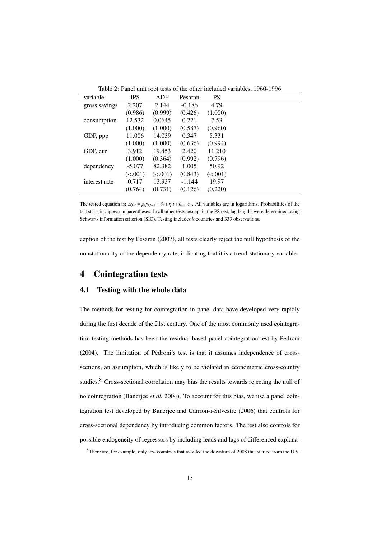| variable      | <b>IPS</b> | ADF     | Pesaran  | <b>PS</b> |  |
|---------------|------------|---------|----------|-----------|--|
| gross savings | 2.207      | 2.144   | $-0.186$ | 4.79      |  |
|               | (0.986)    | (0.999) | (0.426)  | (1.000)   |  |
| consumption   | 12.532     | 0.0645  | 0.221    | 7.53      |  |
|               | (1.000)    | (1.000) | (0.587)  | (0.960)   |  |
| GDP, ppp      | 11.006     | 14.039  | 0.347    | 5.331     |  |
|               | (1.000)    | (1.000) | (0.636)  | (0.994)   |  |
| GDP, eur      | 3.912      | 19.453  | 2.420    | 11.210    |  |
|               | (1.000)    | (0.364) | (0.992)  | (0.796)   |  |
| dependency    | $-5.077$   | 82.382  | 1.005    | 50.92     |  |
|               | (<.001)    | (<.001) | (0.843)  | (<.001)   |  |
| interest rate | 0.717      | 13.937  | $-1.144$ | 19.97     |  |
|               | (0.764)    | (0.731) | (0.126)  | (0.220)   |  |

Table 2: Panel unit root tests of the other included variables, 1960-1996

The tested equation is:  $\Delta y_{it} = \rho_i y_{i,t-1} + \delta_i + \eta_i t + \theta_t + \epsilon_{it}$ . All variables are in logarithms. Probabilities of the test statistics appear in parentheses. In all other tests, except in the PS test, lag lengths were determined using Schwarts information criterion (SIC). Testing includes 9 countries and 333 observations.

ception of the test by Pesaran (2007), all tests clearly reject the null hypothesis of the nonstationarity of the dependency rate, indicating that it is a trend-stationary variable.

### 4 Cointegration tests

#### 4.1 Testing with the whole data

The methods for testing for cointegration in panel data have developed very rapidly during the first decade of the 21st century. One of the most commonly used cointegration testing methods has been the residual based panel cointegration test by Pedroni (2004). The limitation of Pedroni's test is that it assumes independence of crosssections, an assumption, which is likely to be violated in econometric cross-country studies. $8 \text{ Cross-sectional correlation may bias the results towards rejecting the null of }$ no cointegration (Banerjee *et al.* 2004). To account for this bias, we use a panel cointegration test developed by Banerjee and Carrion-i-Silvestre (2006) that controls for cross-sectional dependency by introducing common factors. The test also controls for possible endogeneity of regressors by including leads and lags of differenced explana-

<sup>&</sup>lt;sup>8</sup>There are, for example, only few countries that avoided the downturn of 2008 that started from the U.S.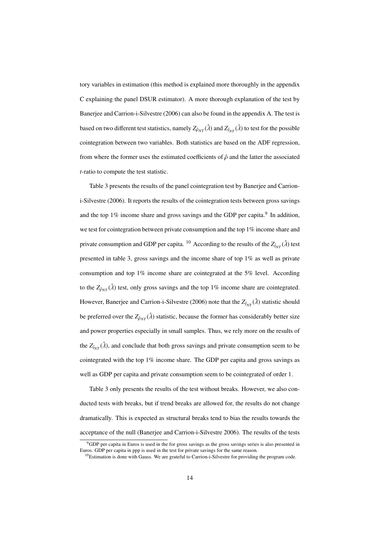tory variables in estimation (this method is explained more thoroughly in the appendix C explaining the panel DSUR estimator). A more thorough explanation of the test by Banerjee and Carrion-i-Silvestre (2006) can also be found in the appendix A. The test is based on two different test statistics, namely  $Z_{\hat{\rho}_{NT}}(\hat{\lambda})$  and  $Z_{\hat{t}_{NT}}(\hat{\lambda})$  to test for the possible cointegration between two variables. Both statistics are based on the ADF regression, from where the former uses the estimated coefficients of  $\hat{\rho}$  and the latter the associated *t*-ratio to compute the test statistic.

Table 3 presents the results of the panel cointegration test by Banerjee and Carrioni-Silvestre (2006). It reports the results of the cointegration tests between gross savings and the top  $1\%$  income share and gross savings and the GDP per capita.<sup>9</sup> In addition, we test for cointegration between private consumption and the top 1% income share and private consumption and GDP per capita. <sup>10</sup> According to the results of the  $Z_{\hat{t}_{NT}}(\hat{\lambda})$  test presented in table 3, gross savings and the income share of top 1% as well as private consumption and top 1% income share are cointegrated at the 5% level. According to the  $Z_{\hat{\rho}_{NT}}(\hat{\lambda})$  test, only gross savings and the top 1% income share are cointegrated. However, Banerjee and Carrion-i-Silvestre (2006) note that the  $Z_{\hat{t}_{NT}}(\hat{\lambda})$  statistic should be preferred over the  $Z_{\hat{\rho}_{NT}}(\hat{\lambda})$  statistic, because the former has considerably better size and power properties especially in small samples. Thus, we rely more on the results of the  $Z_{\hat{t}_{NT}}(\hat{\lambda})$ , and conclude that both gross savings and private consumption seem to be cointegrated with the top 1% income share. The GDP per capita and gross savings as well as GDP per capita and private consumption seem to be cointegrated of order 1.

Table 3 only presents the results of the test without breaks. However, we also conducted tests with breaks, but if trend breaks are allowed for, the results do not change dramatically. This is expected as structural breaks tend to bias the results towards the acceptance of the null (Banerjee and Carrion-i-Silvestre 2006). The results of the tests

<sup>&</sup>lt;sup>9</sup>GDP per capita in Euros is used in the for gross savings as the gross savings series is also presented in Euros. GDP per capita in ppp is used in the test for private savings for the same reason.

<sup>&</sup>lt;sup>10</sup>Estimation is done with Gauss. We are grateful to Carrion-i-Silvestre for providing the program code.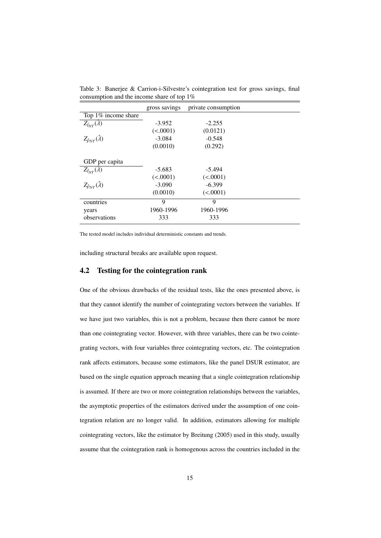|                                               |  |  | Table 3: Banerjee & Carrion-i-Silvestre's cointegration test for gross savings, final |  |  |  |
|-----------------------------------------------|--|--|---------------------------------------------------------------------------------------|--|--|--|
| consumption and the income share of top $1\%$ |  |  |                                                                                       |  |  |  |

|                                        | gross savings | private consumption |  |
|----------------------------------------|---------------|---------------------|--|
| Top 1% income share                    |               |                     |  |
| $Z_{\hat{t}_{NT}}(\overline{\lambda})$ | $-3.952$      | $-2.255$            |  |
|                                        | (<.0001)      | (0.0121)            |  |
| $Z_{\hat{\rho}_{NT}}(\hat{\lambda})$   | $-3.084$      | $-0.548$            |  |
|                                        | (0.0010)      | (0.292)             |  |
|                                        |               |                     |  |
| GDP per capita                         |               |                     |  |
| $Z_{\hat{t}_{NT}}(\hat{\lambda})$      | $-5.683$      | $-5.494$            |  |
|                                        | (<.0001)      | (<.0001)            |  |
| $Z_{\hat{\rho}_{NT}}(\hat{\lambda})$   | $-3.090$      | $-6.399$            |  |
|                                        | (0.0010)      | (<.0001)            |  |
| countries                              | 9             | 9                   |  |
| years                                  | 1960-1996     | 1960-1996           |  |
| observations                           | 333           | 333                 |  |

The tested model includes individual deterministic constants and trends.

including structural breaks are available upon request.

#### 4.2 Testing for the cointegration rank

One of the obvious drawbacks of the residual tests, like the ones presented above, is that they cannot identify the number of cointegrating vectors between the variables. If we have just two variables, this is not a problem, because then there cannot be more than one cointegrating vector. However, with three variables, there can be two cointegrating vectors, with four variables three cointegrating vectors, etc. The cointegration rank affects estimators, because some estimators, like the panel DSUR estimator, are based on the single equation approach meaning that a single cointegration relationship is assumed. If there are two or more cointegration relationships between the variables, the asymptotic properties of the estimators derived under the assumption of one cointegration relation are no longer valid. In addition, estimators allowing for multiple cointegrating vectors, like the estimator by Breitung (2005) used in this study, usually assume that the cointegration rank is homogenous across the countries included in the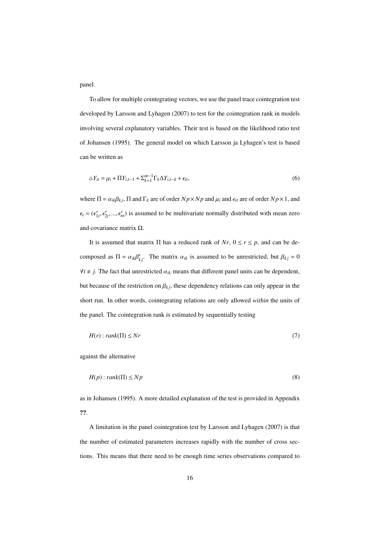panel.

To allow for multiple cointegrating vectors, we use the panel trace cointegration test developed by Larsson and Lyhagen (2007) to test for the cointegration rank in models involving several explanatory variables. Their test is based on the likelihood ratio test of Johansen (1995). The general model on which Larsson ja Lyhagen's test is based can be written as

$$
\Delta Y_{it} = \mu_i + \Pi Y_{i,t-1} + \Sigma_{k=1}^{m-1} \Gamma_k \Delta Y_{i,t-k} + \epsilon_{it},
$$
\n
$$
\tag{6}
$$

where  $\Pi = \alpha_{ik}\beta_{kj}$ ,  $\Pi$  and  $\Gamma_k$  are of order  $Np \times Np$  and  $\mu_i$  and  $\epsilon_{it}$  are of order  $Np \times 1$ , and  $\epsilon_t = (\epsilon'_{1t}, \epsilon'_{2t}, ..., \epsilon'_{nt})$  is assumed to be multivariate normally distributed with mean zero and covariance matrix Ω.

It is assumed that matrix  $\Pi$  has a reduced rank of *Nr*,  $0 \le r \le p$ , and can be decomposed as  $\Pi = \alpha_{ik}\beta'_{kj}$ . The matrix  $\alpha_{ik}$  is assumed to be unrestricted, but  $\beta_{kj} = 0$  $\forall i \neq j$ . The fact that unrestricted  $\alpha_{ik}$  means that different panel units can be dependent, but because of the restriction on  $\beta_{kj}$ , these dependency relations can only appear in the short run. In other words, cointegrating relations are only allowed *within* the units of the panel. The cointegration rank is estimated by sequentially testing

$$
H(r): rank(\Pi) \le Nr \tag{7}
$$

against the alternative

$$
H(p): rank(\Pi) \le Np \tag{8}
$$

as in Johansen (1995). A more detailed explanation of the test is provided in Appendix ??.

A limitation in the panel cointegration test by Larsson and Lyhagen (2007) is that the number of estimated parameters increases rapidly with the number of cross sections. This means that there need to be enough time series observations compared to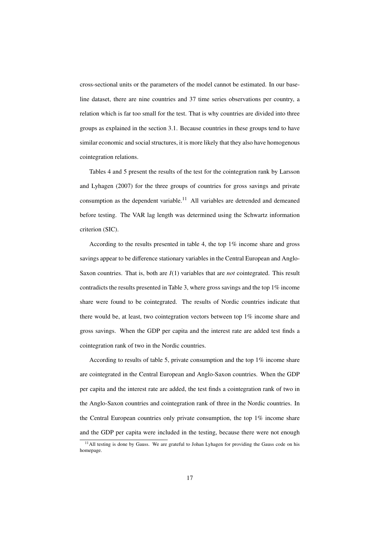cross-sectional units or the parameters of the model cannot be estimated. In our baseline dataset, there are nine countries and 37 time series observations per country, a relation which is far too small for the test. That is why countries are divided into three groups as explained in the section 3.1. Because countries in these groups tend to have similar economic and social structures, it is more likely that they also have homogenous cointegration relations.

Tables 4 and 5 present the results of the test for the cointegration rank by Larsson and Lyhagen (2007) for the three groups of countries for gross savings and private consumption as the dependent variable.<sup>11</sup> All variables are detrended and demeaned before testing. The VAR lag length was determined using the Schwartz information criterion (SIC).

According to the results presented in table 4, the top 1% income share and gross savings appear to be difference stationary variables in the Central European and Anglo-Saxon countries. That is, both are *I*(1) variables that are *not* cointegrated. This result contradicts the results presented in Table 3, where gross savings and the top 1% income share were found to be cointegrated. The results of Nordic countries indicate that there would be, at least, two cointegration vectors between top 1% income share and gross savings. When the GDP per capita and the interest rate are added test finds a cointegration rank of two in the Nordic countries.

According to results of table 5, private consumption and the top 1% income share are cointegrated in the Central European and Anglo-Saxon countries. When the GDP per capita and the interest rate are added, the test finds a cointegration rank of two in the Anglo-Saxon countries and cointegration rank of three in the Nordic countries. In the Central European countries only private consumption, the top 1% income share and the GDP per capita were included in the testing, because there were not enough

<sup>&</sup>lt;sup>11</sup> All testing is done by Gauss. We are grateful to Johan Lyhagen for providing the Gauss code on his homepage.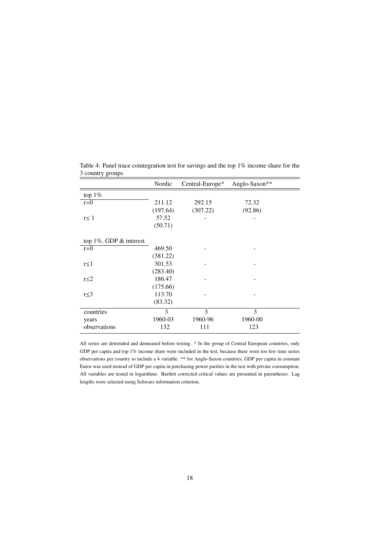|                               | Nordic   | Central-Europe* | Anglo-Saxon** |
|-------------------------------|----------|-----------------|---------------|
| top $1\%$                     |          |                 |               |
| $r=0$                         | 211.12   | 292.15          | 72.32         |
|                               | (197.64) | (307.22)        | (92.86)       |
| $r \leq 1$                    | 57.52    |                 |               |
|                               | (50.71)  |                 |               |
| top $1\%$ , GDP $\&$ interest |          |                 |               |
| $r=0$                         | 469.50   |                 |               |
|                               | (381.22) |                 |               |
| r≤1                           | 301.53   |                 |               |
|                               | (283.40) |                 |               |
| $r \leq 2$                    | 186.47   |                 |               |
|                               | (175.66) |                 |               |
| $r \leq 3$                    | 113.70   |                 |               |
|                               | (83.32)  |                 |               |
| countries                     | 3        | 3               | 3             |
| years                         | 1960-03  | 1960-96         | 1960-00       |
| observations                  | 132      | 111             | 123           |

Table 4: Panel trace cointegration test for savings and the top 1% income share for the 3 country groups

All series are detrended and demeaned before testing. \* In the group of Central European countries, only GDP per capita and top 1% income share were included in the test, because there were too few time series observations per country to include a 4 variable. \*\* for Anglo-Saxon countries, GDP per capita in constant Euros was used instead of GDP per capita in purchasing power parities in the test with private consumption. All variables are tested in logarithms. Bartlett corrected critical values are presented in parentheses. Lag lengths were selected using Schwarz information criterion.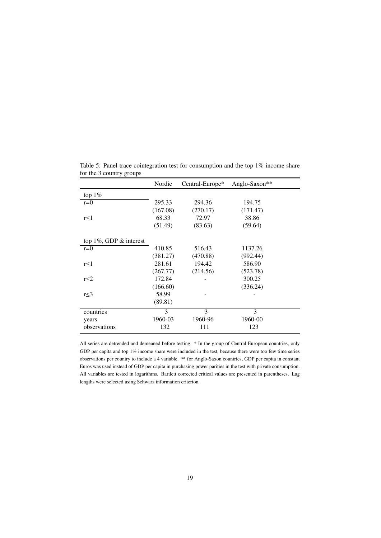|                               | Nordic   | Central-Europe* | Anglo-Saxon** |
|-------------------------------|----------|-----------------|---------------|
| top $1\%$                     |          |                 |               |
| $r=0$                         | 295.33   | 294.36          | 194.75        |
|                               | (167.08) | (270.17)        | (171.47)      |
| $r \leq 1$                    | 68.33    | 72.97           | 38.86         |
|                               | (51.49)  | (83.63)         | (59.64)       |
| top $1\%$ , GDP $\&$ interest |          |                 |               |
| $r=0$                         | 410.85   | 516.43          | 1137.26       |
|                               | (381.27) | (470.88)        | (992.44)      |
| $r \leq 1$                    | 281.61   | 194.42          | 586.90        |
|                               | (267.77) | (214.56)        | (523.78)      |
| $r \leq 2$                    | 172.84   |                 | 300.25        |
|                               | (166.60) |                 | (336.24)      |
| $r \leq 3$                    | 58.99    |                 |               |
|                               | (89.81)  |                 |               |
| countries                     | 3        | 3               | 3             |
| years                         | 1960-03  | 1960-96         | 1960-00       |
| observations                  | 132      | 111             | 123           |

Table 5: Panel trace cointegration test for consumption and the top 1% income share for the 3 country groups

All series are detrended and demeaned before testing. \* In the group of Central European countries, only GDP per capita and top 1% income share were included in the test, because there were too few time series observations per country to include a 4 variable. \*\* for Anglo-Saxon countries, GDP per capita in constant Euros was used instead of GDP per capita in purchasing power parities in the test with private consumption. All variables are tested in logarithms. Bartlett corrected critical values are presented in parentheses. Lag lengths were selected using Schwarz information criterion.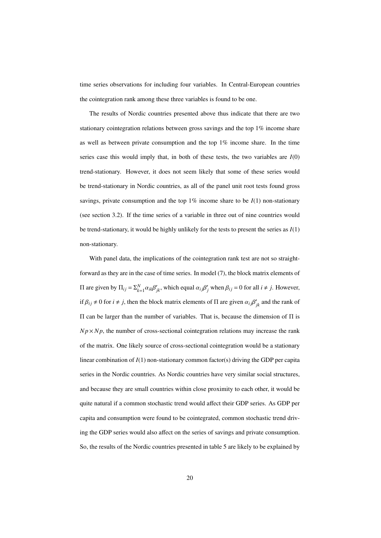time series observations for including four variables. In Central-European countries the cointegration rank among these three variables is found to be one.

The results of Nordic countries presented above thus indicate that there are two stationary cointegration relations between gross savings and the top 1% income share as well as between private consumption and the top 1% income share. In the time series case this would imply that, in both of these tests, the two variables are  $I(0)$ trend-stationary. However, it does not seem likely that some of these series would be trend-stationary in Nordic countries, as all of the panel unit root tests found gross savings, private consumption and the top  $1\%$  income share to be  $I(1)$  non-stationary (see section 3.2). If the time series of a variable in three out of nine countries would be trend-stationary, it would be highly unlikely for the tests to present the series as *I*(1) non-stationary.

With panel data, the implications of the cointegration rank test are not so straightforward as they are in the case of time series. In model (7), the block matrix elements of  $\Pi$  are given by  $\Pi_{ij} = \sum_{k=1}^{N} \alpha_{ik} \beta'_{jk}$ , which equal  $\alpha_{ij} \beta'_{j}$  when  $\beta_{ij} = 0$  for all *i* ≠ *j*. However, if  $\beta_{ij} \neq 0$  for  $i \neq j$ , then the block matrix elements of  $\Pi$  are given  $\alpha_{ij}\beta'_{jk}$  and the rank of Π can be larger than the number of variables. That is, because the dimension of Π is  $Np \times Np$ , the number of cross-sectional cointegration relations may increase the rank of the matrix. One likely source of cross-sectional cointegration would be a stationary linear combination of *I*(1) non-stationary common factor(s) driving the GDP per capita series in the Nordic countries. As Nordic countries have very similar social structures, and because they are small countries within close proximity to each other, it would be quite natural if a common stochastic trend would affect their GDP series. As GDP per capita and consumption were found to be cointegrated, common stochastic trend driving the GDP series would also affect on the series of savings and private consumption. So, the results of the Nordic countries presented in table 5 are likely to be explained by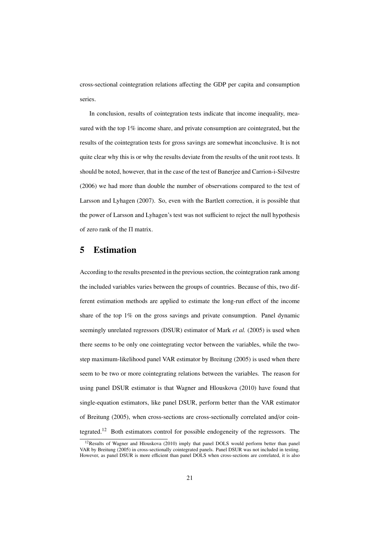cross-sectional cointegration relations affecting the GDP per capita and consumption series.

In conclusion, results of cointegration tests indicate that income inequality, measured with the top  $1\%$  income share, and private consumption are cointegrated, but the results of the cointegration tests for gross savings are somewhat inconclusive. It is not quite clear why this is or why the results deviate from the results of the unit root tests. It should be noted, however, that in the case of the test of Banerjee and Carrion-i-Silvestre (2006) we had more than double the number of observations compared to the test of Larsson and Lyhagen (2007). So, even with the Bartlett correction, it is possible that the power of Larsson and Lyhagen's test was not sufficient to reject the null hypothesis of zero rank of the Π matrix.

### 5 Estimation

According to the results presented in the previous section, the cointegration rank among the included variables varies between the groups of countries. Because of this, two different estimation methods are applied to estimate the long-run effect of the income share of the top 1% on the gross savings and private consumption. Panel dynamic seemingly unrelated regressors (DSUR) estimator of Mark *et al.* (2005) is used when there seems to be only one cointegrating vector between the variables, while the twostep maximum-likelihood panel VAR estimator by Breitung (2005) is used when there seem to be two or more cointegrating relations between the variables. The reason for using panel DSUR estimator is that Wagner and Hlouskova (2010) have found that single-equation estimators, like panel DSUR, perform better than the VAR estimator of Breitung (2005), when cross-sections are cross-sectionally correlated and/or cointegrated.<sup>12</sup> Both estimators control for possible endogeneity of the regressors. The

<sup>&</sup>lt;sup>12</sup>Results of Wagner and Hlouskova (2010) imply that panel DOLS would perform better than panel VAR by Breitung (2005) in cross-sectionally cointegrated panels. Panel DSUR was not included in testing. However, as panel DSUR is more efficient than panel DOLS when cross-sections are correlated, it is also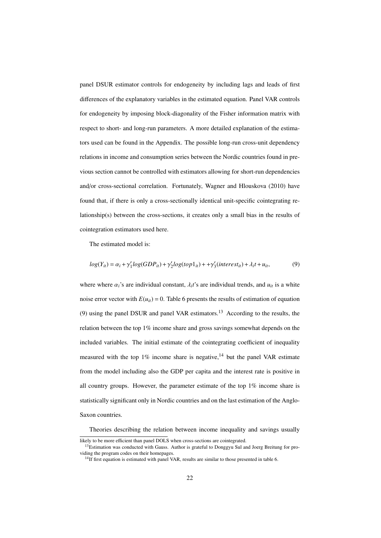panel DSUR estimator controls for endogeneity by including lags and leads of first differences of the explanatory variables in the estimated equation. Panel VAR controls for endogeneity by imposing block-diagonality of the Fisher information matrix with respect to short- and long-run parameters. A more detailed explanation of the estimators used can be found in the Appendix. The possible long-run cross-unit dependency relations in income and consumption series between the Nordic countries found in previous section cannot be controlled with estimators allowing for short-run dependencies and/or cross-sectional correlation. Fortunately, Wagner and Hlouskova (2010) have found that, if there is only a cross-sectionally identical unit-specific cointegrating relationship(s) between the cross-sections, it creates only a small bias in the results of cointegration estimators used here.

The estimated model is:

$$
log(Y_{it}) = \alpha_i + \gamma_1' log(GDP_{it}) + \gamma_2' log(top1_{it}) + \gamma_3' (interest_{it}) + \lambda_i t + u_{it},
$$
\n(9)

where where  $\alpha_i$ 's are individual constant,  $\lambda_i t$ 's are individual trends, and  $u_{it}$  is a white noise error vector with  $E(u_{it}) = 0$ . Table 6 presents the results of estimation of equation (9) using the panel DSUR and panel VAR estimators.<sup>13</sup> According to the results, the relation between the top  $1\%$  income share and gross savings somewhat depends on the included variables. The initial estimate of the cointegrating coefficient of inequality measured with the top  $1\%$  income share is negative,  $14$  but the panel VAR estimate from the model including also the GDP per capita and the interest rate is positive in all country groups. However, the parameter estimate of the top 1% income share is statistically significant only in Nordic countries and on the last estimation of the Anglo-Saxon countries.

Theories describing the relation between income inequality and savings usually

likely to be more efficient than panel DOLS when cross-sections are cointegrated.

<sup>&</sup>lt;sup>13</sup>Estimation was conducted with Gauss. Author is grateful to Donggyu Sul and Joerg Breitung for providing the program codes on their homepages.

 $14$ If first equation is estimated with panel VAR, results are similar to those presented in table 6.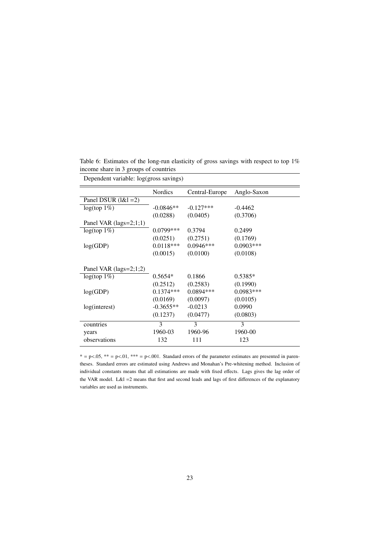|                          | <b>Nordics</b> | Central-Europe | Anglo-Saxon |
|--------------------------|----------------|----------------|-------------|
| Panel DSUR $(l\&l = 2)$  |                |                |             |
| $log(top 1\%)$           | $-0.0846**$    | $-0.127***$    | $-0.4462$   |
|                          | (0.0288)       | (0.0405)       | (0.3706)    |
| Panel VAR $(lags=2;1;1)$ |                |                |             |
| $log(top 1\%)$           | $0.0799***$    | 0.3794         | 0.2499      |
|                          | (0.0251)       | (0.2751)       | (0.1769)    |
| log(GDP)                 | $0.0118***$    | $0.0946***$    | $0.0903***$ |
|                          | (0.0015)       | (0.0100)       | (0.0108)    |
|                          |                |                |             |
| Panel VAR $(lags=2;1;2)$ |                |                |             |
| $log(top 1\%)$           | $0.5654*$      | 0.1866         | $0.5385*$   |
|                          | (0.2512)       | (0.2583)       | (0.1990)    |
| log(GDP)                 | $0.1374***$    | $0.0894***$    | 0.0983***   |
|                          | (0.0169)       | (0.0097)       | (0.0105)    |
| log(interest)            | $-0.3655**$    | $-0.0213$      | 0.0990      |
|                          | (0.1237)       | (0.0477)       | (0.0803)    |
| countries                | 3              | 3              | 3           |
| years                    | 1960-03        | 1960-96        | 1960-00     |
| observations             | 132            | 111            | 123         |
|                          |                |                |             |

Table 6: Estimates of the long-run elasticity of gross savings with respect to top 1% income share in 3 groups of countries

Dependent variable: log(gross savings)

 $* = p \lt 0.05$ ,  $** = p \lt 0.01$ ,  $*** = p \lt 0.001$ . Standard errors of the parameter estimates are presented in parentheses. Standard errors are estimated using Andrews and Monahan's Pre-whitening method. Inclusion of individual constants means that all estimations are made with fixed effects. Lags gives the lag order of the VAR model. L&l =2 means that first and second leads and lags of first differences of the explanatory variables are used as instruments.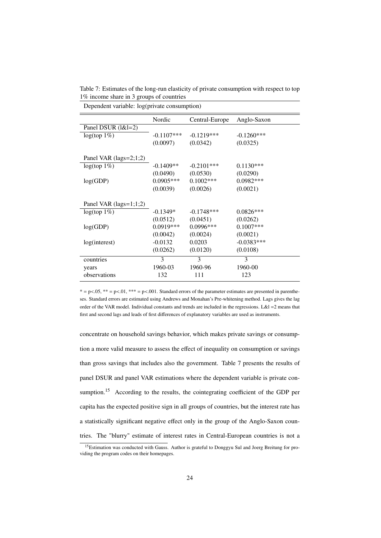Table 7: Estimates of the long-run elasticity of private consumption with respect to top 1% income share in 3 groups of countries

Dependent variable: log(private consumption)

|                          | Nordic        | Central-Europe | Anglo-Saxon  |
|--------------------------|---------------|----------------|--------------|
| Panel DSUR (1&1=2)       |               |                |              |
| $log(top 1\%)$           | $-0.1107$ *** | $-0.1219***$   | $-0.1260***$ |
|                          | (0.0097)      | (0.0342)       | (0.0325)     |
|                          |               |                |              |
| Panel VAR $(lags=2;1;2)$ |               |                |              |
| $log(top 1\%)$           | $-0.1409**$   | $-0.2101***$   | $0.1130***$  |
|                          | (0.0490)      | (0.0530)       | (0.0290)     |
| log(GDP)                 | $0.0905***$   | $0.1002$ ***   | $0.0982***$  |
|                          | (0.0039)      | (0.0026)       | (0.0021)     |
|                          |               |                |              |
| Panel VAR $(lags=1;1;2)$ |               |                |              |
| $log(top 1\%)$           | $-0.1349*$    | $-0.1748***$   | $0.0826***$  |
|                          | (0.0512)      | (0.0451)       | (0.0262)     |
| log(GDP)                 | $0.0919***$   | $0.0996***$    | $0.1007$ *** |
|                          | (0.0042)      | (0.0024)       | (0.0021)     |
| log(interest)            | $-0.0132$     | 0.0203         | $-0.0383***$ |
|                          | (0.0262)      | (0.0120)       | (0.0108)     |
| countries                | 3             | 3              | 3            |
| years                    | 1960-03       | 1960-96        | 1960-00      |
| observations             | 132           | 111            | 123          |
|                          |               |                |              |

 $* = p < .05$ ,  $** = p < .01$ ,  $** = p < .001$ . Standard errors of the parameter estimates are presented in parentheses. Standard errors are estimated using Andrews and Monahan's Pre-whitening method. Lags gives the lag order of the VAR model. Individual constants and trends are included in the regressions. L&l =2 means that first and second lags and leads of first differences of explanatory variables are used as instruments.

concentrate on household savings behavior, which makes private savings or consumption a more valid measure to assess the effect of inequality on consumption or savings than gross savings that includes also the government. Table 7 presents the results of panel DSUR and panel VAR estimations where the dependent variable is private consumption.<sup>15</sup> According to the results, the cointegrating coefficient of the GDP per capita has the expected positive sign in all groups of countries, but the interest rate has a statistically significant negative effect only in the group of the Anglo-Saxon countries. The "blurry" estimate of interest rates in Central-European countries is not a

<sup>&</sup>lt;sup>15</sup>Estimation was conducted with Gauss. Author is grateful to Donggyu Sul and Joerg Breitung for providing the program codes on their homepages.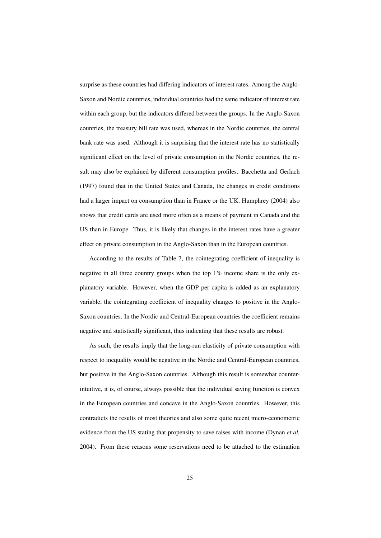surprise as these countries had differing indicators of interest rates. Among the Anglo-Saxon and Nordic countries, individual countries had the same indicator of interest rate within each group, but the indicators differed between the groups. In the Anglo-Saxon countries, the treasury bill rate was used, whereas in the Nordic countries, the central bank rate was used. Although it is surprising that the interest rate has no statistically significant effect on the level of private consumption in the Nordic countries, the result may also be explained by different consumption profiles. Bacchetta and Gerlach (1997) found that in the United States and Canada, the changes in credit conditions had a larger impact on consumption than in France or the UK. Humphrey (2004) also shows that credit cards are used more often as a means of payment in Canada and the US than in Europe. Thus, it is likely that changes in the interest rates have a greater effect on private consumption in the Anglo-Saxon than in the European countries.

According to the results of Table 7, the cointegrating coefficient of inequality is negative in all three country groups when the top 1% income share is the only explanatory variable. However, when the GDP per capita is added as an explanatory variable, the cointegrating coefficient of inequality changes to positive in the Anglo-Saxon countries. In the Nordic and Central-European countries the coefficient remains negative and statistically significant, thus indicating that these results are robust.

As such, the results imply that the long-run elasticity of private consumption with respect to inequality would be negative in the Nordic and Central-European countries, but positive in the Anglo-Saxon countries. Although this result is somewhat counterintuitive, it is, of course, always possible that the individual saving function is convex in the European countries and concave in the Anglo-Saxon countries. However, this contradicts the results of most theories and also some quite recent micro-econometric evidence from the US stating that propensity to save raises with income (Dynan *et al.* 2004). From these reasons some reservations need to be attached to the estimation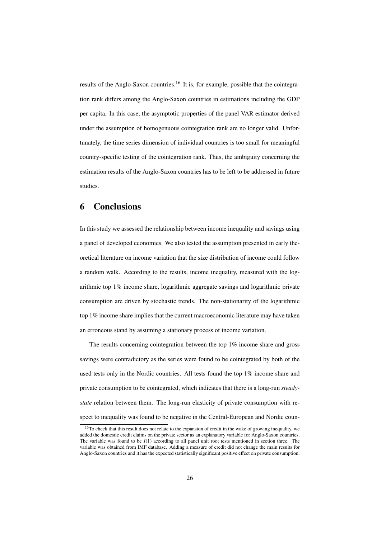results of the Anglo-Saxon countries.<sup>16</sup> It is, for example, possible that the cointegration rank differs among the Anglo-Saxon countries in estimations including the GDP per capita. In this case, the asymptotic properties of the panel VAR estimator derived under the assumption of homogenuous cointegration rank are no longer valid. Unfortunately, the time series dimension of individual countries is too small for meaningful country-specific testing of the cointegration rank. Thus, the ambiguity concerning the estimation results of the Anglo-Saxon countries has to be left to be addressed in future studies.

## 6 Conclusions

In this study we assessed the relationship between income inequality and savings using a panel of developed economies. We also tested the assumption presented in early theoretical literature on income variation that the size distribution of income could follow a random walk. According to the results, income inequality, measured with the logarithmic top 1% income share, logarithmic aggregate savings and logarithmic private consumption are driven by stochastic trends. The non-stationarity of the logarithmic top 1% income share implies that the current macroeconomic literature may have taken an erroneous stand by assuming a stationary process of income variation.

The results concerning cointegration between the top 1% income share and gross savings were contradictory as the series were found to be cointegrated by both of the used tests only in the Nordic countries. All tests found the top 1% income share and private consumption to be cointegrated, which indicates that there is a long-run *steadystate* relation between them. The long-run elasticity of private consumption with respect to inequality was found to be negative in the Central-European and Nordic coun-

<sup>&</sup>lt;sup>16</sup>To check that this result does not relate to the expansion of credit in the wake of growing inequality, we added the domestic credit claims on the private sector as an explanatory variable for Anglo-Saxon countries. The variable was found to be *I*(1) according to all panel unit root tests mentioned in section three. The variable was obtained from IMF database. Adding a measure of credit did not change the main results for Anglo-Saxon countries and it has the expected statistically significant positive effect on private consumption.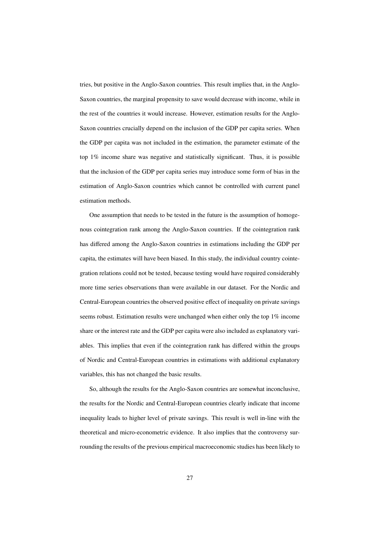tries, but positive in the Anglo-Saxon countries. This result implies that, in the Anglo-Saxon countries, the marginal propensity to save would decrease with income, while in the rest of the countries it would increase. However, estimation results for the Anglo-Saxon countries crucially depend on the inclusion of the GDP per capita series. When the GDP per capita was not included in the estimation, the parameter estimate of the top 1% income share was negative and statistically significant. Thus, it is possible that the inclusion of the GDP per capita series may introduce some form of bias in the estimation of Anglo-Saxon countries which cannot be controlled with current panel estimation methods.

One assumption that needs to be tested in the future is the assumption of homogenous cointegration rank among the Anglo-Saxon countries. If the cointegration rank has differed among the Anglo-Saxon countries in estimations including the GDP per capita, the estimates will have been biased. In this study, the individual country cointegration relations could not be tested, because testing would have required considerably more time series observations than were available in our dataset. For the Nordic and Central-European countries the observed positive effect of inequality on private savings seems robust. Estimation results were unchanged when either only the top 1% income share or the interest rate and the GDP per capita were also included as explanatory variables. This implies that even if the cointegration rank has differed within the groups of Nordic and Central-European countries in estimations with additional explanatory variables, this has not changed the basic results.

So, although the results for the Anglo-Saxon countries are somewhat inconclusive, the results for the Nordic and Central-European countries clearly indicate that income inequality leads to higher level of private savings. This result is well in-line with the theoretical and micro-econometric evidence. It also implies that the controversy surrounding the results of the previous empirical macroeconomic studies has been likely to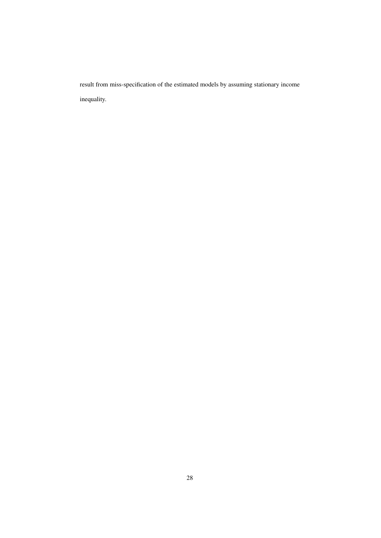result from miss-specification of the estimated models by assuming stationary income inequality.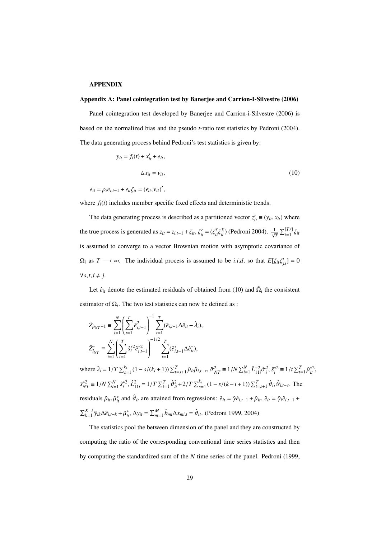#### APPENDIX

#### Appendix A: Panel cointegration test by Banerjee and Carrion-I-Silvestre (2006)

Panel cointegration test developed by Banerjee and Carrion-i-Silvestre (2006) is based on the normalized bias and the pseudo *t*-ratio test statistics by Pedroni (2004). The data generating process behind Pedroni's test statistics is given by:

$$
y_{it} = f_i(t) + x'_{it} + e_{it},
$$
  

$$
\Delta x_{it} = v_{it},
$$
 (10)

 $e_{it} = \rho_i e_{i,t-1} + \epsilon_{it} \zeta_{it} = (\epsilon_{it}, v_{it})',$ 

where  $f_i(t)$  includes member specific fixed effects and deterministic trends.

The data generating process is described as a partitioned vector  $z'_{it} \equiv (y_{it}, x_{it})$  where the true process is generated as  $z_{it} = z_{i,t-1} + \zeta_{it}$ ,  $\zeta'_{it} = (\zeta_{it}^y \zeta_{it}^X)$  (Pedroni 2004).  $\frac{1}{\sqrt{T}} \sum_{t=1}^{[Tr]} \zeta_{it}$ is assumed to converge to a vector Brownian motion with asymptotic covariance of  $\Omega_i$  as  $T \longrightarrow \infty$ . The individual process is assumed to be *i.i.d.* so that  $E[\zeta_{it}\zeta'_{js}] = 0$  $\forall$ *s*,*t*,*i* ≠ *j*.

Let  $\hat{e}_{it}$  denote the estimated residuals of obtained from (10) and  $\hat{\Omega}_i$  the consistent estimator of  $\Omega_i$ . The two test statistics can now be defined as :

$$
\tilde{Z}_{\hat{\rho}_{NT}-1} = \sum_{i=1}^{N} \left( \sum_{t=1}^{T} \hat{e}_{i,t-1}^{2} \right)^{-1} \sum_{t=1}^{T} (\hat{e}_{i,t-1} \Delta \hat{e}_{it} - \hat{\lambda}_{i}),
$$
\n
$$
\tilde{Z}_{\hat{i}_{NT}}^{*} = \sum_{i=1}^{N} \left( \sum_{t=1}^{T} \hat{s}_{i}^{*2} \hat{e}_{i,t-1}^{*2} \right)^{-1/2} \sum_{t=1}^{T} (\hat{e}_{i,t-1}^{*} \Delta \hat{e}_{it}^{*}),
$$

where  $\hat{\lambda}_i = 1/T \sum_{s=1}^{k_i} (1 - s/(k_i + 1)) \sum_{t=s+1}^{T} \hat{\mu}_{it} \hat{\mu}_{i,t-s}, \tilde{\sigma}_{NT}^2 \equiv 1/N \sum_{i=1}^{N} \hat{L}_{11i}^{-2} \hat{\sigma}_i^2, \hat{s}_i^{*2} \equiv 1/t \sum_{t=1}^{T} \hat{\mu}_{it}^{*2},$  $\tilde{s}_{NT}^{*2} \equiv 1/N \sum_{i=1}^{N} \hat{s}_i^{*2}$ ,  $\hat{L}_{11i}^2 = 1/T \sum_{i=1}^{T} \hat{\vartheta}_{it}^2 + 2/T \sum_{s=1}^{k_i} (1 - s/(k - i + 1)) \sum_{t=s+1}^{T} \hat{\vartheta}_i$ ,  $\hat{\vartheta}_{i,t-s}$ . The *i*residuals  $\hat{\mu}_{it}$ ,  $\hat{\mu}_{it}^*$  and  $\hat{\vartheta}_{it}$  are attained from regressions:  $\hat{e}_{it} = \hat{\gamma} \hat{e}_{i,t-1} + \hat{\mu}_{it}$ ,  $\hat{e}_{it} = \hat{\gamma}_i \hat{e}_{i,t-1} + \hat{\mu}_{it}$  $\sum_{k=1}^{K-i} \hat{\gamma}_{ik} \Delta \hat{e}_{i,t-k} + \hat{\mu}_{it}^*$ ,  $\Delta y_{it} = \sum_{m=1}^{M} \hat{b}_{mi} \Delta x_{mi,t} = \hat{\vartheta}_{it}$ . (Pedroni 1999, 2004)

The statistics pool the between dimension of the panel and they are constructed by computing the ratio of the corresponding conventional time series statistics and then by computing the standardized sum of the *N* time series of the panel. Pedroni (1999,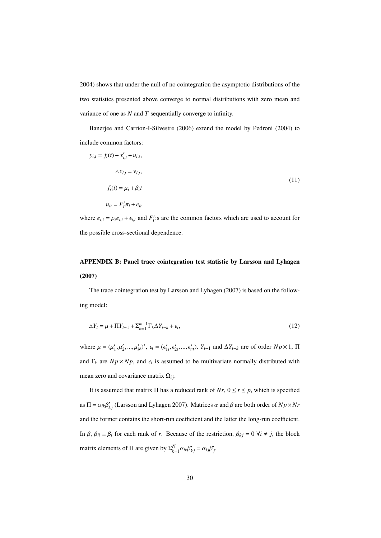2004) shows that under the null of no cointegration the asymptotic distributions of the two statistics presented above converge to normal distributions with zero mean and variance of one as *N* and *T* sequentially converge to infinity.

Banerjee and Carrion-I-Silvestre (2006) extend the model by Pedroni (2004) to include common factors:

$$
y_{i,t} = f_i(t) + x'_{i,t} + u_{i,t},
$$
  
\n
$$
\Delta x_{i,t} = v_{i,t},
$$
  
\n
$$
f_i(t) = \mu_i + \beta_i t
$$
  
\n
$$
u_{it} = F'_t \pi_i + e_{it}
$$
\n(11)

where  $e_{i,t} = \rho_i e_{i,t} + \epsilon_{i,t}$  and  $F'_t$ : s are the common factors which are used to account for the possible cross-sectional dependence.

## APPENDIX B: Panel trace cointegration test statistic by Larsson and Lyhagen (2007)

The trace cointegration test by Larsson and Lyhagen (2007) is based on the following model:

$$
\Delta Y_t = \mu + \Pi Y_{t-1} + \sum_{k=1}^{m-1} \Gamma_k \Delta Y_{t-k} + \epsilon_t, \qquad (12)
$$

where  $\mu = (\mu'_1, \mu'_2, ..., \mu'_N)'$ ,  $\epsilon_t = (\epsilon'_{1t}, \epsilon'_{2t}, ..., \epsilon'_{nt})$ ,  $Y_{t-1}$  and  $\Delta Y_{t-k}$  are of order  $Np \times 1$ ,  $\Pi$ and  $\Gamma_k$  are  $Np \times Np$ , and  $\epsilon_t$  is assumed to be multivariate normally distributed with mean zero and covariance matrix  $\Omega_{ij}$ .

It is assumed that matrix  $\Pi$  has a reduced rank of  $Nr$ ,  $0 \le r \le p$ , which is specified as  $\Pi = \alpha_{ik}\beta'_{kj}$  (Larsson and Lyhagen 2007). Matrices  $\alpha$  and  $\beta$  are both order of  $Np \times Nr$ and the former contains the short-run coefficient and the latter the long-run coefficient. In  $\beta$ ,  $\beta_{ii} \equiv \beta_i$  for each rank of *r*. Because of the restriction,  $\beta_{kj} = 0$   $\forall i \neq j$ , the block matrix elements of  $\Pi$  are given by  $\Sigma_{k=1}^{N} \alpha_{ik}\beta'_{kj} = \alpha_{ij}\beta'_{j}$ .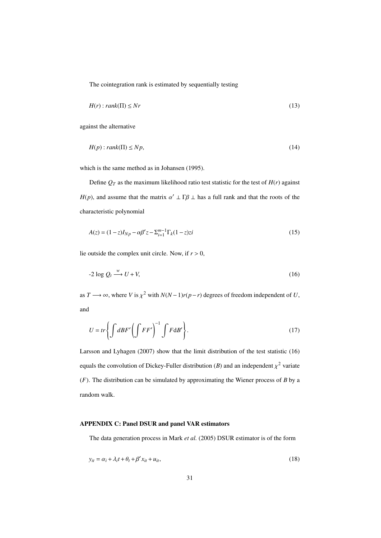The cointegration rank is estimated by sequentially testing

$$
H(r): rank(\Pi) \le Nr
$$
\n<sup>(13)</sup>

against the alternative

$$
H(p): rank(\Pi) \le Np,
$$
\n<sup>(14)</sup>

which is the same method as in Johansen (1995).

Define  $Q_T$  as the maximum likelihood ratio test statistic for the test of  $H(r)$  against *H*(*p*), and assume that the matrix  $\alpha' \perp \Gamma \beta \perp$  has a full rank and that the roots of the characteristic polynomial

$$
A(z) = (1 - z)I_{Np} - \alpha \beta' z - \sum_{i=1}^{m-1} \Gamma_k (1 - z)z i
$$
\n(15)

lie outside the complex unit circle. Now, if  $r > 0$ ,

$$
-2\log Q_t \stackrel{w}{\longrightarrow} U + V,\tag{16}
$$

as *T* → ∞, where *V* is  $\chi^2$  with  $N(N-1)r(p-r)$  degrees of freedom independent of *U*, and

$$
U = tr \left\{ \int dBF' \left( \int FF' \right)^{-1} \int F \, \mathrm{d}B' \right\} . \tag{17}
$$

Larsson and Lyhagen (2007) show that the limit distribution of the test statistic (16) equals the convolution of Dickey-Fuller distribution (*B*) and an independent  $\chi^2$  variate (*F*). The distribution can be simulated by approximating the Wiener process of *B* by a random walk.

#### APPENDIX C: Panel DSUR and panel VAR estimators

The data generation process in Mark *et al.* (2005) DSUR estimator is of the form

$$
y_{it} = \alpha_i + \lambda_i t + \theta_t + \beta' x_{it} + u_{it},
$$
\n<sup>(18)</sup>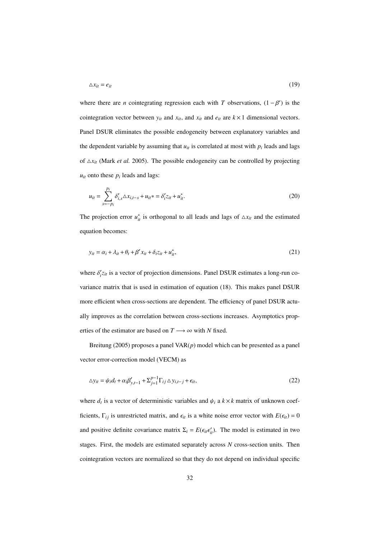$$
\Delta x_{it} = e_{it} \tag{19}
$$

where there are *n* cointegrating regression each with *T* observations,  $(1 - \beta')$  is the cointegration vector between  $y_{it}$  and  $x_{it}$ , and  $x_{it}$  and  $e_{it}$  are  $k \times 1$  dimensional vectors. Panel DSUR eliminates the possible endogeneity between explanatory variables and the dependent variable by assuming that  $u_{it}$  is correlated at most with  $p_i$  leads and lags of  $\Delta x_{it}$  (Mark *et al.* 2005). The possible endogeneity can be controlled by projecting  $u_{it}$  onto these  $p_i$  leads and lags:

$$
u_{it} = \sum_{s=-p_i}^{p_i} \delta'_{i,s} \Delta x_{i,t-s} + u_{it} * = \delta'_{i} z_{it} + u_{it}^{*}.
$$
 (20)

The projection error  $u_{it}^*$  is orthogonal to all leads and lags of  $\Delta x_{it}$  and the estimated equation becomes:

$$
y_{it} = \alpha_i + \lambda_{it} + \theta_t + \beta' x_{it} + \delta_i z_{it} + u_{it}^*,
$$
\n(21)

where  $\delta'_i z_{it}$  is a vector of projection dimensions. Panel DSUR estimates a long-run covariance matrix that is used in estimation of equation (18). This makes panel DSUR more efficient when cross-sections are dependent. The efficiency of panel DSUR actually improves as the correlation between cross-sections increases. Asymptotics properties of the estimator are based on  $T \longrightarrow \infty$  with *N* fixed.

Breitung (2005) proposes a panel VAR(*p*) model which can be presented as a panel vector error-correction model (VECM) as

$$
\Delta y_{it} = \psi_i d_t + \alpha_i \beta'_{y,t-1} + \sum_{j=1}^{p-1} \Gamma_{ij} \Delta y_{i,t-j} + \epsilon_{it},
$$
\n(22)

where  $d_t$  is a vector of deterministic variables and  $\psi_i$  a  $k \times k$  matrix of unknown coefficients,  $\Gamma_{ij}$  is unrestricted matrix, and  $\epsilon_{it}$  is a white noise error vector with  $E(\epsilon_{it}) = 0$ and positive definite covariance matrix  $\Sigma_i = E(\epsilon_{i} \epsilon'_{i} t)$ . The model is estimated in two stages. First, the models are estimated separately across *N* cross-section units. Then cointegration vectors are normalized so that they do not depend on individual specific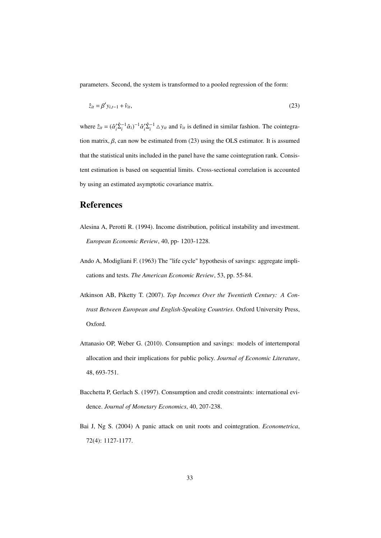parameters. Second, the system is transformed to a pooled regression of the form:

$$
\hat{z}_{it} = \beta' y_{i,t-1} + \hat{v}_{it},\tag{23}
$$

where  $\hat{z}_{it} = (\hat{\alpha}'_i \hat{\Sigma}_i^{-1} \hat{\alpha}_i)^{-1} \hat{\alpha}'_i \hat{\Sigma}_i^{-1} \Delta y_{it}$  and  $\hat{v}_{it}$  is defined in similar fashion. The cointegration matrix,  $\beta$ , can now be estimated from (23) using the OLS estimator. It is assumed that the statistical units included in the panel have the same cointegration rank. Consistent estimation is based on sequential limits. Cross-sectional correlation is accounted by using an estimated asymptotic covariance matrix.

### References

- Alesina A, Perotti R. (1994). Income distribution, political instability and investment. *European Economic Review*, 40, pp- 1203-1228.
- Ando A, Modigliani F. (1963) The "life cycle" hypothesis of savings: aggregate implications and tests. *The American Economic Review*, 53, pp. 55-84.
- Atkinson AB, Piketty T. (2007). *Top Incomes Over the Twentieth Century: A Contrast Between European and English-Speaking Countries*. Oxford University Press, Oxford.
- Attanasio OP, Weber G. (2010). Consumption and savings: models of intertemporal allocation and their implications for public policy. *Journal of Economic Literature*, 48, 693-751.
- Bacchetta P, Gerlach S. (1997). Consumption and credit constraints: international evidence. *Journal of Monetary Economics*, 40, 207-238.
- Bai J, Ng S. (2004) A panic attack on unit roots and cointegration. *Econometrica*, 72(4): 1127-1177.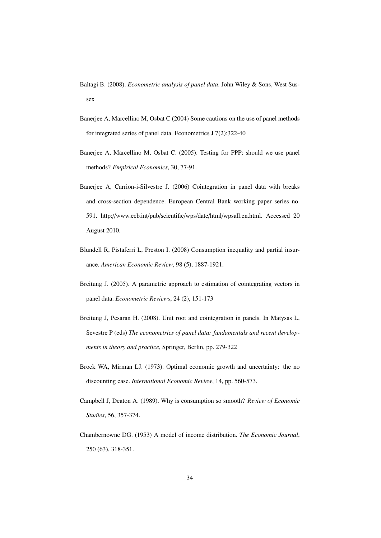Baltagi B. (2008). *Econometric analysis of panel data*. John Wiley & Sons, West Sussex

- Banerjee A, Marcellino M, Osbat C (2004) Some cautions on the use of panel methods for integrated series of panel data. Econometrics J 7(2):322-40
- Banerjee A, Marcellino M, Osbat C. (2005). Testing for PPP: should we use panel methods? *Empirical Economics*, 30, 77-91.
- Banerjee A, Carrion-i-Silvestre J. (2006) Cointegration in panel data with breaks and cross-section dependence. European Central Bank working paper series no. 591. http://www.ecb.int/pub/scientific/wps/date/html/wpsall.en.html. Accessed 20 August 2010.
- Blundell R, Pistaferri L, Preston I. (2008) Consumption inequality and partial insurance. *American Economic Review*, 98 (5), 1887-1921.
- Breitung J. (2005). A parametric approach to estimation of cointegrating vectors in panel data. *Econometric Reviews*, 24 (2), 151-173
- Breitung J, Pesaran H. (2008). Unit root and cointegration in panels. In Matysas L, Sevestre P (eds) *The econometrics of panel data: fundamentals and recent developments in theory and practice*, Springer, Berlin, pp. 279-322
- Brock WA, Mirman LJ. (1973). Optimal economic growth and uncertainty: the no discounting case. *International Economic Review*, 14, pp. 560-573.
- Campbell J, Deaton A. (1989). Why is consumption so smooth? *Review of Economic Studies*, 56, 357-374.
- Chambernowne DG. (1953) A model of income distribution. *The Economic Journal*, 250 (63), 318-351.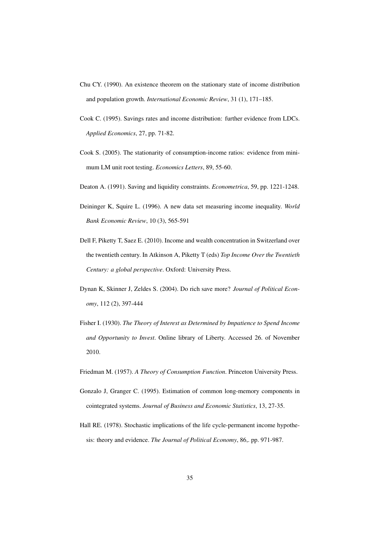- Chu CY. (1990). An existence theorem on the stationary state of income distribution and population growth. *International Economic Review*, 31 (1), 171–185.
- Cook C. (1995). Savings rates and income distribution: further evidence from LDCs. *Applied Economics*, 27, pp. 71-82.
- Cook S. (2005). The stationarity of consumption-income ratios: evidence from minimum LM unit root testing. *Economics Letters*, 89, 55-60.
- Deaton A. (1991). Saving and liquidity constraints. *Econometrica*, 59, pp. 1221-1248.
- Deininger K, Squire L. (1996). A new data set measuring income inequality. *World Bank Economic Review*, 10 (3), 565-591
- Dell F, Piketty T, Saez E. (2010). Income and wealth concentration in Switzerland over the twentieth century. In Atkinson A, Piketty T (eds) *Top Income Over the Twentieth Century: a global perspective*. Oxford: University Press.
- Dynan K, Skinner J, Zeldes S. (2004). Do rich save more? *Journal of Political Economy*, 112 (2), 397-444
- Fisher I. (1930). *The Theory of Interest as Determined by Impatience to Spend Income and Opportunity to Invest*. Online library of Liberty. Accessed 26. of November 2010.
- Friedman M. (1957). *A Theory of Consumption Function*. Princeton University Press.
- Gonzalo J, Granger C. (1995). Estimation of common long-memory components in cointegrated systems. *Journal of Business and Economic Statistics*, 13, 27-35.
- Hall RE. (1978). Stochastic implications of the life cycle-permanent income hypothesis: theory and evidence. *The Journal of Political Economy*, 86,. pp. 971-987.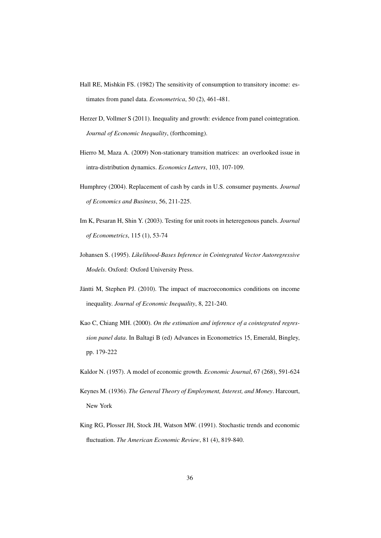- Hall RE, Mishkin FS. (1982) The sensitivity of consumption to transitory income: estimates from panel data. *Econometrica*, 50 (2), 461-481.
- Herzer D, Vollmer S (2011). Inequality and growth: evidence from panel cointegration. *Journal of Economic Inequality*, (forthcoming).
- Hierro M, Maza A. (2009) Non-stationary transition matrices: an overlooked issue in intra-distribution dynamics. *Economics Letters*, 103, 107-109.
- Humphrey (2004). Replacement of cash by cards in U.S. consumer payments. *Journal of Economics and Business*, 56, 211-225.
- Im K, Pesaran H, Shin Y. (2003). Testing for unit roots in heteregenous panels. *Journal of Econometrics*, 115 (1), 53-74
- Johansen S. (1995). *Likelihood-Bases Inference in Cointegrated Vector Autoregressive Models*. Oxford: Oxford University Press.
- Jäntti M, Stephen PJ. (2010). The impact of macroeconomics conditions on income inequality. *Journal of Economic Inequality*, 8, 221-240.
- Kao C, Chiang MH. (2000). *On the estimation and inference of a cointegrated regression panel data*. In Baltagi B (ed) Advances in Econometrics 15, Emerald, Bingley, pp. 179-222
- Kaldor N. (1957). A model of economic growth. *Economic Journal*, 67 (268), 591-624
- Keynes M. (1936). *The General Theory of Employment, Interest, and Money*. Harcourt, New York
- King RG, Plosser JH, Stock JH, Watson MW. (1991). Stochastic trends and economic fluctuation. *The American Economic Review*, 81 (4), 819-840.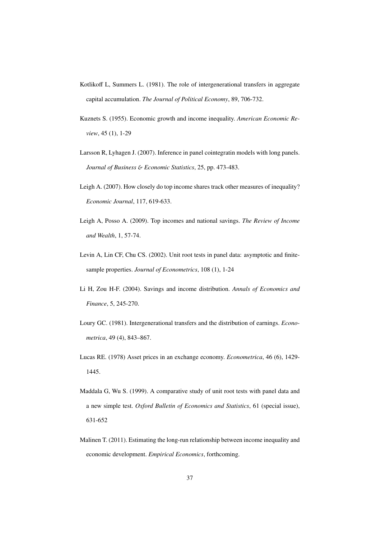- Kotlikoff L, Summers L. (1981). The role of intergenerational transfers in aggregate capital accumulation. *The Journal of Political Economy*, 89, 706-732.
- Kuznets S. (1955). Economic growth and income inequality. *American Economic Review*, 45 (1), 1-29
- Larsson R, Lyhagen J. (2007). Inference in panel cointegratin models with long panels. *Journal of Business* & *Economic Statistics*, 25, pp. 473-483.
- Leigh A. (2007). How closely do top income shares track other measures of inequality? *Economic Journal*, 117, 619-633.
- Leigh A, Posso A. (2009). Top incomes and national savings. *The Review of Income and Wealth*, 1, 57-74.
- Levin A, Lin CF, Chu CS. (2002). Unit root tests in panel data: asymptotic and finitesample properties. *Journal of Econometrics*, 108 (1), 1-24
- Li H, Zou H-F. (2004). Savings and income distribution. *Annals of Economics and Finance*, 5, 245-270.
- Loury GC. (1981). Intergenerational transfers and the distribution of earnings. *Econometrica*, 49 (4), 843–867.
- Lucas RE. (1978) Asset prices in an exchange economy. *Econometrica*, 46 (6), 1429- 1445.
- Maddala G, Wu S. (1999). A comparative study of unit root tests with panel data and a new simple test. *Oxford Bulletin of Economics and Statistics*, 61 (special issue), 631-652
- Malinen T. (2011). Estimating the long-run relationship between income inequality and economic development. *Empirical Economics*, forthcoming.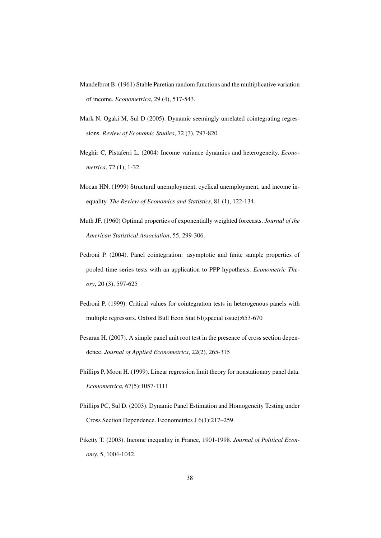- Mandelbrot B. (1961) Stable Paretian random functions and the multiplicative variation of income. *Econometrica*, 29 (4), 517-543.
- Mark N, Ogaki M, Sul D (2005). Dynamic seemingly unrelated cointegrating regressions. *Review of Economic Studies*, 72 (3), 797-820
- Meghir C, Pistaferri L. (2004) Income variance dynamics and heterogeneity. *Econometrica*, 72 (1), 1-32.
- Mocan HN. (1999) Structural unemployment, cyclical unemployment, and income inequality. *The Review of Economics and Statistics*, 81 (1), 122-134.
- Muth JF. (1960) Optimal properties of exponentially weighted forecasts. *Journal of the American Statistical Association*, 55, 299-306.
- Pedroni P. (2004). Panel cointegration: asymptotic and finite sample properties of pooled time series tests with an application to PPP hypothesis. *Econometric Theory*, 20 (3), 597-625
- Pedroni P. (1999). Critical values for cointegration tests in heterogenous panels with multiple regressors. Oxford Bull Econ Stat 61(special issue):653-670
- Pesaran H. (2007). A simple panel unit root test in the presence of cross section dependence. *Journal of Applied Econometrics*, 22(2), 265-315
- Phillips P, Moon H. (1999). Linear regression limit theory for nonstationary panel data. *Econometrica*, 67(5):1057-1111
- Phillips PC, Sul D. (2003). Dynamic Panel Estimation and Homogeneity Testing under Cross Section Dependence. Econometrics J 6(1):217–259
- Piketty T. (2003). Income inequality in France, 1901-1998. *Journal of Political Economy*, 5, 1004-1042.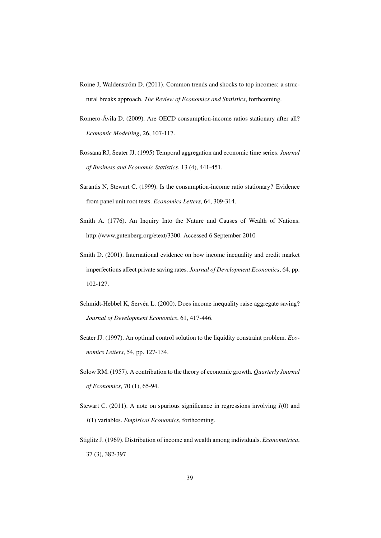- Roine J, Waldenström D. (2011). Common trends and shocks to top incomes: a structural breaks approach. *The Review of Economics and Statistics*, forthcoming.
- Romero-Ávila D. (2009). Are OECD consumption-income ratios stationary after all? *Economic Modelling*, 26, 107-117.
- Rossana RJ, Seater JJ. (1995) Temporal aggregation and economic time series. *Journal of Business and Economic Statistics*, 13 (4), 441-451.
- Sarantis N, Stewart C. (1999). Is the consumption-income ratio stationary? Evidence from panel unit root tests. *Economics Letters*, 64, 309-314.
- Smith A. (1776). An Inquiry Into the Nature and Causes of Wealth of Nations. http://www.gutenberg.org/etext/3300. Accessed 6 September 2010
- Smith D. (2001). International evidence on how income inequality and credit market imperfections affect private saving rates. *Journal of Development Economics*, 64, pp. 102-127.
- Schmidt-Hebbel K, Servén L. (2000). Does income inequality raise aggregate saving? *Journal of Development Economics*, 61, 417-446.
- Seater JJ. (1997). An optimal control solution to the liquidity constraint problem. *Economics Letters*, 54, pp. 127-134.
- Solow RM. (1957). A contribution to the theory of economic growth. *Quarterly Journal of Economics*, 70 (1), 65-94.
- Stewart C. (2011). A note on spurious significance in regressions involving *I*(0) and *I*(1) variables. *Empirical Economics*, forthcoming.
- Stiglitz J. (1969). Distribution of income and wealth among individuals. *Econometrica*, 37 (3), 382-397